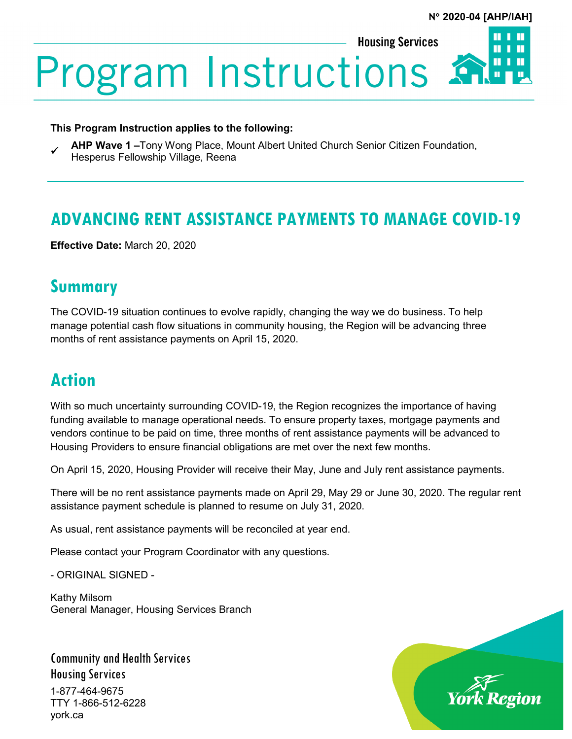Ш

**Housing Services** 

**Program Instructions** 

## **This Program Instruction applies to the following:**

 **AHP Wave 1 –**Tony Wong Place, Mount Albert United Church Senior Citizen Foundation, Hesperus Fellowship Village, Reena

## **ADVANCING RENT ASSISTANCE PAYMENTS TO MANAGE COVID-19**

**Effective Date:** March 20, 2020

## **Summary**

The COVID-19 situation continues to evolve rapidly, changing the way we do business. To help manage potential cash flow situations in community housing, the Region will be advancing three months of rent assistance payments on April 15, 2020.

## **Action**

With so much uncertainty surrounding COVID-19, the Region recognizes the importance of having funding available to manage operational needs. To ensure property taxes, mortgage payments and vendors continue to be paid on time, three months of rent assistance payments will be advanced to Housing Providers to ensure financial obligations are met over the next few months.

On April 15, 2020, Housing Provider will receive their May, June and July rent assistance payments.

There will be no rent assistance payments made on April 29, May 29 or June 30, 2020. The regular rent assistance payment schedule is planned to resume on July 31, 2020.

As usual, rent assistance payments will be reconciled at year end.

Please contact your Program Coordinator with any questions.

- ORIGINAL SIGNED -

Kathy Milsom General Manager, Housing Services Branch

Community and Health Services Housing Services 1-877-464-9675 TTY 1-866-512-6228 york.ca